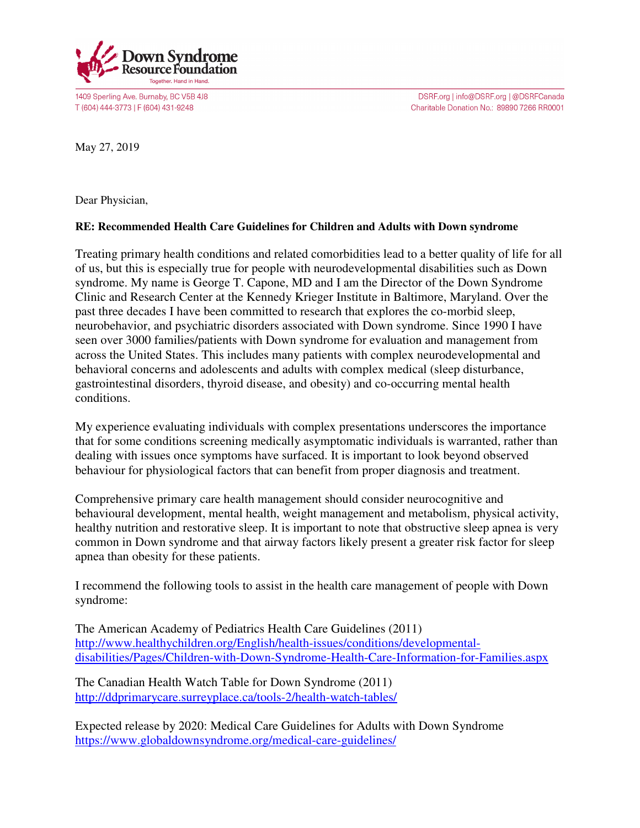

1409 Sperling Ave. Burnaby, BC V5B 4J8 T (604) 444-3773 | F (604) 431-9248

DSRF.org | info@DSRF.org | @DSRFCanada Charitable Donation No.: 89890 7266 RR0001

May 27, 2019

Dear Physician,

## **RE: Recommended Health Care Guidelines for Children and Adults with Down syndrome**

Treating primary health conditions and related comorbidities lead to a better quality of life for all of us, but this is especially true for people with neurodevelopmental disabilities such as Down syndrome. My name is George T. Capone, MD and I am the Director of the Down Syndrome Clinic and Research Center at the Kennedy Krieger Institute in Baltimore, Maryland. Over the past three decades I have been committed to research that explores the co-morbid sleep, neurobehavior, and psychiatric disorders associated with Down syndrome. Since 1990 I have seen over 3000 families/patients with Down syndrome for evaluation and management from across the United States. This includes many patients with complex neurodevelopmental and behavioral concerns and adolescents and adults with complex medical (sleep disturbance, gastrointestinal disorders, thyroid disease, and obesity) and co-occurring mental health conditions.

My experience evaluating individuals with complex presentations underscores the importance that for some conditions screening medically asymptomatic individuals is warranted, rather than dealing with issues once symptoms have surfaced. It is important to look beyond observed behaviour for physiological factors that can benefit from proper diagnosis and treatment.

Comprehensive primary care health management should consider neurocognitive and behavioural development, mental health, weight management and metabolism, physical activity, healthy nutrition and restorative sleep. It is important to note that obstructive sleep apnea is very common in Down syndrome and that airway factors likely present a greater risk factor for sleep apnea than obesity for these patients.

I recommend the following tools to assist in the health care management of people with Down syndrome:

The American Academy of Pediatrics Health Care Guidelines (2011) http://www.healthychildren.org/English/health-issues/conditions/developmentaldisabilities/Pages/Children-with-Down-Syndrome-Health-Care-Information-for-Families.aspx

The Canadian Health Watch Table for Down Syndrome (2011) http://ddprimarycare.surreyplace.ca/tools-2/health-watch-tables/

Expected release by 2020: Medical Care Guidelines for Adults with Down Syndrome https://www.globaldownsyndrome.org/medical-care-guidelines/